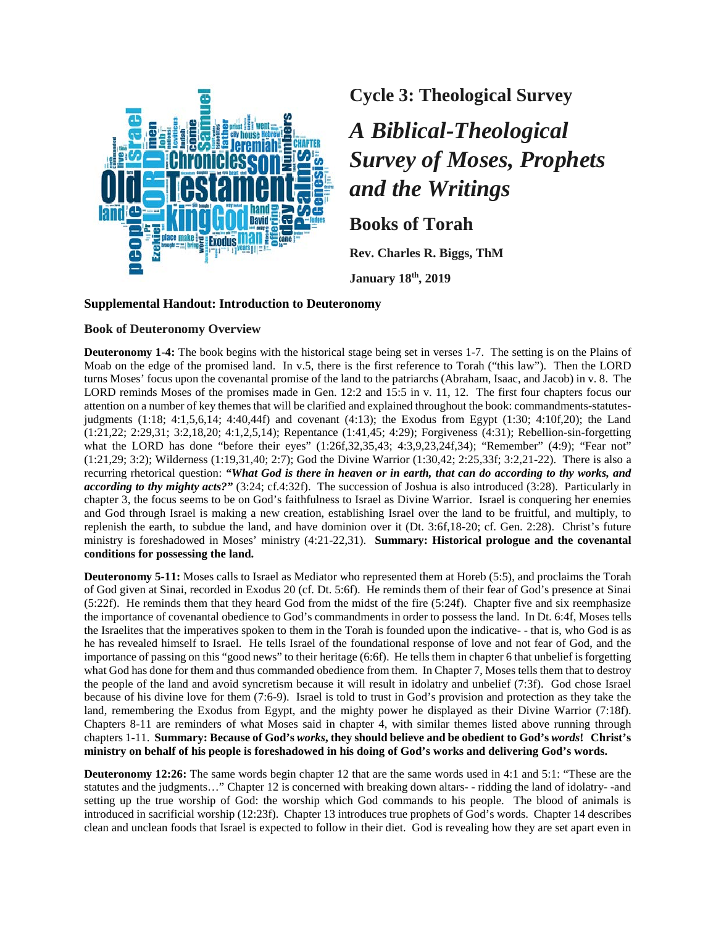

**Cycle 3: Theological Survey**

## *A Biblical-Theological Survey of Moses, Prophets and the Writings*

**Books of Torah**

**Rev. Charles R. Biggs, ThM**

**January 18th, 2019**

## **Supplemental Handout: Introduction to Deuteronomy**

## **Book of Deuteronomy Overview**

**Deuteronomy 1-4:** The book begins with the historical stage being set in verses 1-7. The setting is on the Plains of Moab on the edge of the promised land. In v.5, there is the first reference to Torah ("this law"). Then the LORD turns Moses' focus upon the covenantal promise of the land to the patriarchs (Abraham, Isaac, and Jacob) in v. 8. The LORD reminds Moses of the promises made in Gen. 12:2 and 15:5 in v. 11, 12. The first four chapters focus our attention on a number of key themes that will be clarified and explained throughout the book: commandments-statutesjudgments (1:18; 4:1,5,6,14; 4:40,44f) and covenant (4:13); the Exodus from Egypt (1:30; 4:10f,20); the Land (1:21,22; 2:29,31; 3:2,18,20; 4:1,2,5,14); Repentance (1:41,45; 4:29); Forgiveness (4:31); Rebellion-sin-forgetting what the LORD has done "before their eyes" (1:26f,32,35,43; 4:3,9,23,24f,34); "Remember" (4:9); "Fear not" (1:21,29; 3:2); Wilderness (1:19,31,40; 2:7); God the Divine Warrior (1:30,42; 2:25,33f; 3:2,21-22). There is also a recurring rhetorical question: *"What God is there in heaven or in earth, that can do according to thy works, and according to thy mighty acts?"* (3:24; cf.4:32f). The succession of Joshua is also introduced (3:28). Particularly in chapter 3, the focus seems to be on God's faithfulness to Israel as Divine Warrior. Israel is conquering her enemies and God through Israel is making a new creation, establishing Israel over the land to be fruitful, and multiply, to replenish the earth, to subdue the land, and have dominion over it (Dt. 3:6f,18-20; cf. Gen. 2:28). Christ's future ministry is foreshadowed in Moses' ministry (4:21-22,31). **Summary: Historical prologue and the covenantal conditions for possessing the land.**

**Deuteronomy 5-11:** Moses calls to Israel as Mediator who represented them at Horeb (5:5), and proclaims the Torah of God given at Sinai, recorded in Exodus 20 (cf. Dt. 5:6f). He reminds them of their fear of God's presence at Sinai (5:22f). He reminds them that they heard God from the midst of the fire (5:24f). Chapter five and six reemphasize the importance of covenantal obedience to God's commandments in order to possess the land. In Dt. 6:4f, Moses tells the Israelites that the imperatives spoken to them in the Torah is founded upon the indicative- - that is, who God is as he has revealed himself to Israel. He tells Israel of the foundational response of love and not fear of God, and the importance of passing on this "good news" to their heritage (6:6f). He tells them in chapter 6 that unbelief is forgetting what God has done for them and thus commanded obedience from them. In Chapter 7, Moses tells them that to destroy the people of the land and avoid syncretism because it will result in idolatry and unbelief (7:3f). God chose Israel because of his divine love for them (7:6-9). Israel is told to trust in God's provision and protection as they take the land, remembering the Exodus from Egypt, and the mighty power he displayed as their Divine Warrior (7:18f). Chapters 8-11 are reminders of what Moses said in chapter 4, with similar themes listed above running through chapters 1-11. **Summary: Because of God's** *works***, they should believe and be obedient to God's** *words***! Christ's ministry on behalf of his people is foreshadowed in his doing of God's works and delivering God's words.**

**Deuteronomy 12:26:** The same words begin chapter 12 that are the same words used in 4:1 and 5:1: "These are the statutes and the judgments…" Chapter 12 is concerned with breaking down altars- - ridding the land of idolatry- -and setting up the true worship of God: the worship which God commands to his people. The blood of animals is introduced in sacrificial worship (12:23f). Chapter 13 introduces true prophets of God's words. Chapter 14 describes clean and unclean foods that Israel is expected to follow in their diet. God is revealing how they are set apart even in